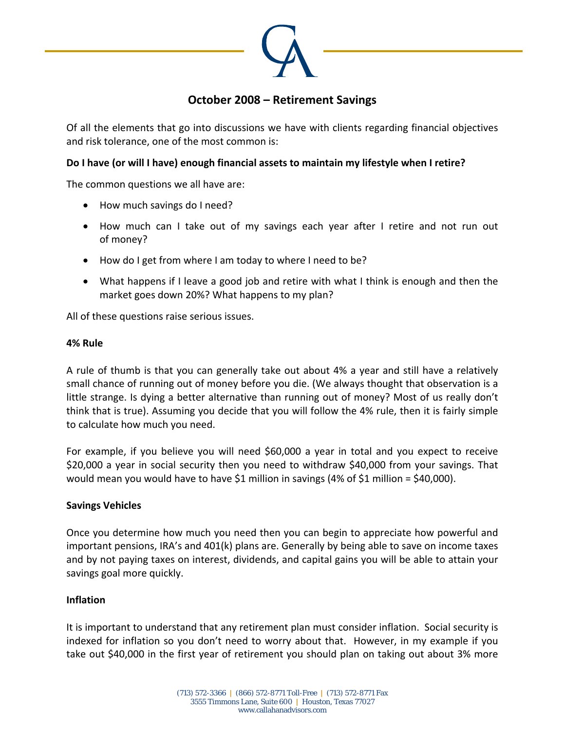

# **October 2008 – Retirement Savings**

Of all the elements that go into discussions we have with clients regarding financial objectives and risk tolerance, one of the most common is:

## **Do I have (or will I have) enough financial assets to maintain my lifestyle when I retire?**

The common questions we all have are:

- How much savings do I need?
- How much can I take out of my savings each year after I retire and not run out of money?
- How do I get from where I am today to where I need to be?
- What happens if I leave a good job and retire with what I think is enough and then the market goes down 20%? What happens to my plan?

All of these questions raise serious issues.

#### **4% Rule**

A rule of thumb is that you can generally take out about 4% a year and still have a relatively small chance of running out of money before you die. (We always thought that observation is a little strange. Is dying a better alternative than running out of money? Most of us really don't think that is true). Assuming you decide that you will follow the 4% rule, then it is fairly simple to calculate how much you need.

For example, if you believe you will need \$60,000 a year in total and you expect to receive \$20,000 a year in social security then you need to withdraw \$40,000 from your savings. That would mean you would have to have \$1 million in savings (4% of \$1 million = \$40,000).

#### **Savings Vehicles**

Once you determine how much you need then you can begin to appreciate how powerful and important pensions, IRA's and 401(k) plans are. Generally by being able to save on income taxes and by not paying taxes on interest, dividends, and capital gains you will be able to attain your savings goal more quickly.

#### **Inflation**

It is important to understand that any retirement plan must consider inflation. Social security is indexed for inflation so you don't need to worry about that. However, in my example if you take out \$40,000 in the first year of retirement you should plan on taking out about 3% more